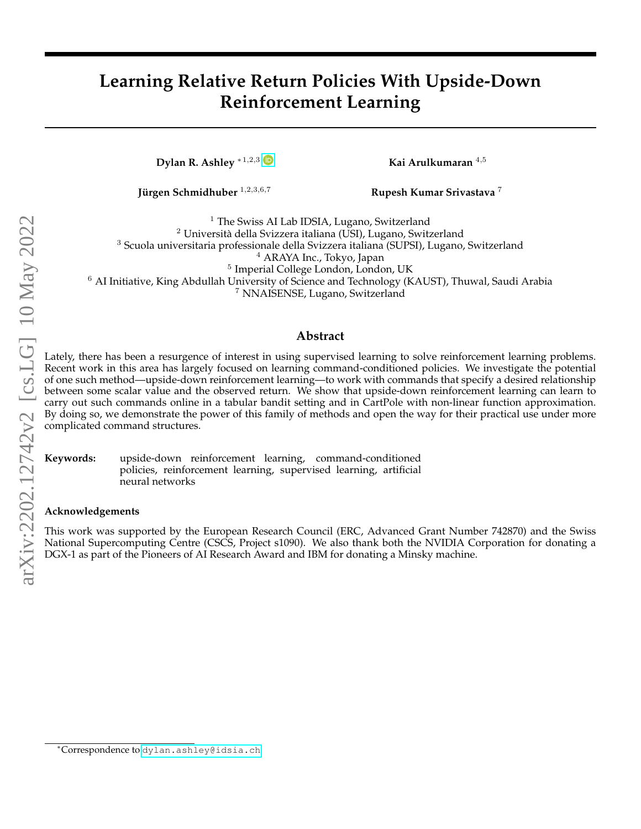# **Learning Relative Return Policies With Upside-Down Reinforcement Learning**

**Dylan R. Ashley** ∗<sup>1,2,3</sup> **D Kai Arulkumaran** <sup>4,5</sup>

**Jürgen Schmidhuber** <sup>1,2,3,6,7</sup> **Rupesh Kumar Srivastava**<sup>7</sup>

<sup>1</sup> The Swiss AI Lab IDSIA, Lugano, Switzerland  $2$  Università della Svizzera italiana (USI), Lugano, Switzerland <sup>3</sup> Scuola universitaria professionale della Svizzera italiana (SUPSI), Lugano, Switzerland <sup>4</sup> ARAYA Inc., Tokyo, Japan 5 Imperial College London, London, UK

<sup>6</sup> AI Initiative, King Abdullah University of Science and Technology (KAUST), Thuwal, Saudi Arabia

<sup>7</sup> NNAISENSE, Lugano, Switzerland

#### **Abstract**

Lately, there has been a resurgence of interest in using supervised learning to solve reinforcement learning problems. Recent work in this area has largely focused on learning command-conditioned policies. We investigate the potential of one such method—upside-down reinforcement learning—to work with commands that specify a desired relationship between some scalar value and the observed return. We show that upside-down reinforcement learning can learn to carry out such commands online in a tabular bandit setting and in CartPole with non-linear function approximation. By doing so, we demonstrate the power of this family of methods and open the way for their practical use under more complicated command structures.

**Keywords:** upside-down reinforcement learning, command-conditioned policies, reinforcement learning, supervised learning, artificial neural networks

#### **Acknowledgements**

This work was supported by the European Research Council (ERC, Advanced Grant Number 742870) and the Swiss National Supercomputing Centre (CSCS, Project s1090). We also thank both the NVIDIA Corporation for donating a DGX-1 as part of the Pioneers of AI Research Award and IBM for donating a Minsky machine.

<sup>∗</sup>Correspondence to [dylan.ashley@idsia.ch](mailto:dylan.ashley@idsia.ch)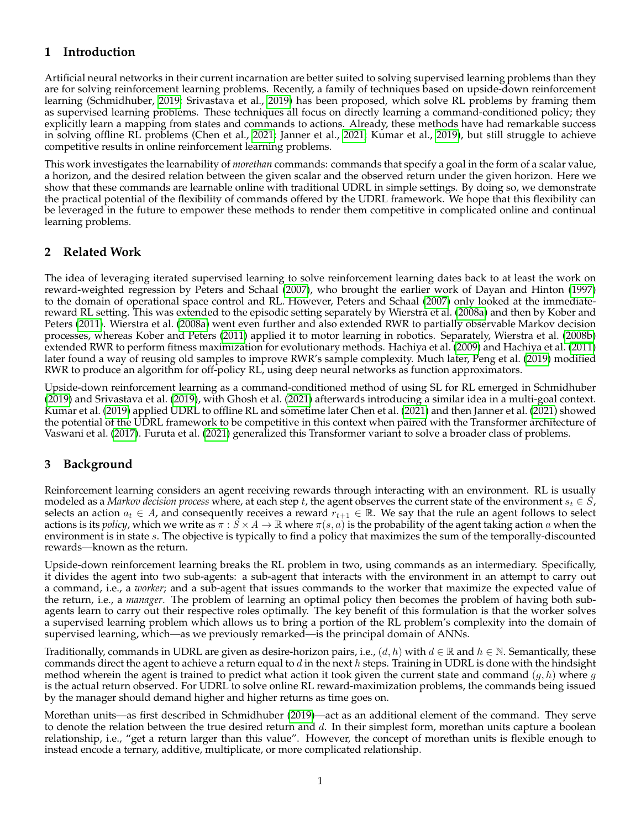# **1 Introduction**

Artificial neural networks in their current incarnation are better suited to solving supervised learning problems than they are for solving reinforcement learning problems. Recently, a family of techniques based on upside-down reinforcement learning (Schmidhuber, [2019;](#page-4-0) Srivastava et al., [2019\)](#page-4-1) has been proposed, which solve RL problems by framing them as supervised learning problems. These techniques all focus on directly learning a command-conditioned policy; they explicitly learn a mapping from states and commands to actions. Already, these methods have had remarkable success in solving offline RL problems (Chen et al., [2021;](#page-4-2) Janner et al., [2021;](#page-4-3) Kumar et al., [2019\)](#page-4-4), but still struggle to achieve competitive results in online reinforcement learning problems.

This work investigates the learnability of *morethan* commands: commands that specify a goal in the form of a scalar value, a horizon, and the desired relation between the given scalar and the observed return under the given horizon. Here we show that these commands are learnable online with traditional UDRL in simple settings. By doing so, we demonstrate the practical potential of the flexibility of commands offered by the UDRL framework. We hope that this flexibility can be leveraged in the future to empower these methods to render them competitive in complicated online and continual learning problems.

## **2 Related Work**

The idea of leveraging iterated supervised learning to solve reinforcement learning dates back to at least the work on reward-weighted regression by Peters and Schaal [\(2007\)](#page-4-5), who brought the earlier work of Dayan and Hinton [\(1997\)](#page-4-6) to the domain of operational space control and RL. However, Peters and Schaal [\(2007\)](#page-4-5) only looked at the immediatereward RL setting. This was extended to the episodic setting separately by Wierstra et al. [\(2008a\)](#page-4-7) and then by Kober and Peters [\(2011\)](#page-4-8). Wierstra et al. [\(2008a\)](#page-4-7) went even further and also extended RWR to partially observable Markov decision processes, whereas Kober and Peters [\(2011\)](#page-4-8) applied it to motor learning in robotics. Separately, Wierstra et al. [\(2008b\)](#page-4-9) extended RWR to perform fitness maximization for evolutionary methods. Hachiya et al. [\(2009\)](#page-4-10) and Hachiya et al. [\(2011\)](#page-4-11) later found a way of reusing old samples to improve RWR's sample complexity. Much later, Peng et al. [\(2019\)](#page-4-12) modified RWR to produce an algorithm for off-policy RL, using deep neural networks as function approximators.

Upside-down reinforcement learning as a command-conditioned method of using SL for RL emerged in Schmidhuber [\(2019\)](#page-4-0) and Srivastava et al. [\(2019\)](#page-4-1), with Ghosh et al. [\(2021\)](#page-4-13) afterwards introducing a similar idea in a multi-goal context. Kumar et al. [\(2019\)](#page-4-4) applied UDRL to offline RL and sometime later Chen et al. [\(2021\)](#page-4-2) and then Janner et al. [\(2021\)](#page-4-3) showed the potential of the UDRL framework to be competitive in this context when paired with the Transformer architecture of Vaswani et al. [\(2017\)](#page-4-14). Furuta et al. [\(2021\)](#page-4-15) generalized this Transformer variant to solve a broader class of problems.

# **3 Background**

Reinforcement learning considers an agent receiving rewards through interacting with an environment. RL is usually modeled as a *Markov decision process* where, at each step t, the agent observes the current state of the environment  $s_t \in S$ , selects an action  $a_t \in A$ , and consequently receives a reward  $r_{t+1} \in \mathbb{R}$ . We say that the rule an agent follows to select actions is its *policy*, which we write as  $\pi : S \times A \to \mathbb{R}$  where  $\pi(s, a)$  is the probability of the agent taking action a when the environment is in state s. The objective is typically to find a policy that maximizes the sum of the temporally-discounted rewards—known as the return.

Upside-down reinforcement learning breaks the RL problem in two, using commands as an intermediary. Specifically, it divides the agent into two sub-agents: a sub-agent that interacts with the environment in an attempt to carry out a command, i.e., a *worker*; and a sub-agent that issues commands to the worker that maximize the expected value of the return, i.e., a *manager*. The problem of learning an optimal policy then becomes the problem of having both subagents learn to carry out their respective roles optimally. The key benefit of this formulation is that the worker solves a supervised learning problem which allows us to bring a portion of the RL problem's complexity into the domain of supervised learning, which—as we previously remarked—is the principal domain of ANNs.

Traditionally, commands in UDRL are given as desire-horizon pairs, i.e.,  $(d, h)$  with  $d \in \mathbb{R}$  and  $h \in \mathbb{N}$ . Semantically, these commands direct the agent to achieve a return equal to  $d$  in the next  $h$  steps. Training in UDRL is done with the hindsight method wherein the agent is trained to predict what action it took given the current state and command  $(g, h)$  where g is the actual return observed. For UDRL to solve online RL reward-maximization problems, the commands being issued by the manager should demand higher and higher returns as time goes on.

Morethan units—as first described in Schmidhuber [\(2019\)](#page-4-0)—act as an additional element of the command. They serve to denote the relation between the true desired return and  $d$ . In their simplest form, morethan units capture a boolean relationship, i.e., "get a return larger than this value". However, the concept of morethan units is flexible enough to instead encode a ternary, additive, multiplicate, or more complicated relationship.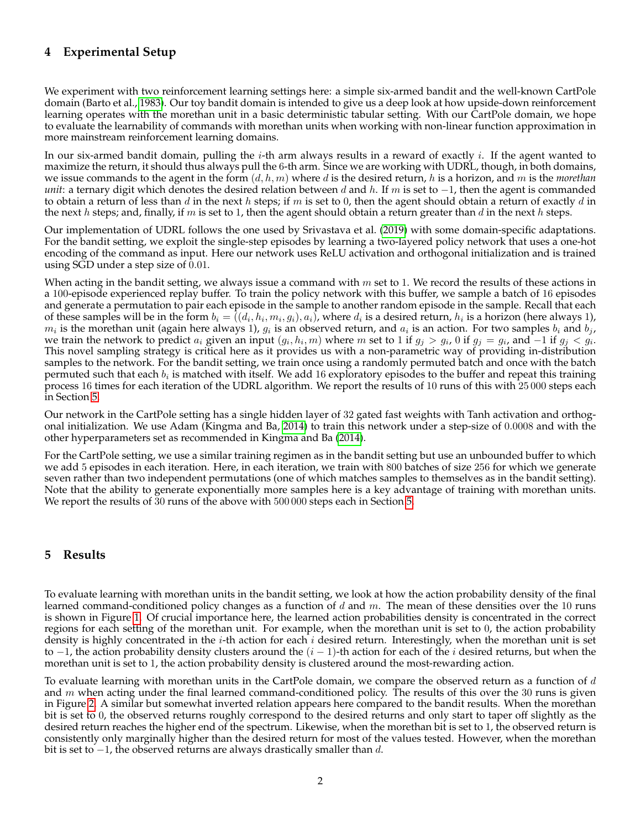# **4 Experimental Setup**

We experiment with two reinforcement learning settings here: a simple six-armed bandit and the well-known CartPole domain (Barto et al., [1983\)](#page-4-16). Our toy bandit domain is intended to give us a deep look at how upside-down reinforcement learning operates with the morethan unit in a basic deterministic tabular setting. With our CartPole domain, we hope to evaluate the learnability of commands with morethan units when working with non-linear function approximation in more mainstream reinforcement learning domains.

In our six-armed bandit domain, pulling the *i*-th arm always results in a reward of exactly *i*. If the agent wanted to maximize the return, it should thus always pull the 6-th arm. Since we are working with UDRL, though, in both domains, we issue commands to the agent in the form  $(d, h, m)$  where d is the desired return, h is a horizon, and m is the *morethan unit*: a ternary digit which denotes the desired relation between d and h. If m is set to  $-1$ , then the agent is commanded to obtain a return of less than d in the next h steps; if m is set to 0, then the agent should obtain a return of exactly d in the next h steps; and, finally, if m is set to 1, then the agent should obtain a return greater than  $d$  in the next h steps.

Our implementation of UDRL follows the one used by Srivastava et al. [\(2019\)](#page-4-1) with some domain-specific adaptations. For the bandit setting, we exploit the single-step episodes by learning a two-layered policy network that uses a one-hot encoding of the command as input. Here our network uses ReLU activation and orthogonal initialization and is trained using SGD under a step size of 0.01.

When acting in the bandit setting, we always issue a command with  $m$  set to 1. We record the results of these actions in a 100-episode experienced replay buffer. To train the policy network with this buffer, we sample a batch of 16 episodes and generate a permutation to pair each episode in the sample to another random episode in the sample. Recall that each of these samples will be in the form  $b_i = ((d_i, h_i, m_i, g_i), a_i)$ , where  $d_i$  is a desired return,  $h_i$  is a horizon (here always 1),  $m_i$  is the morethan unit (again here always 1),  $g_i$  is an observed return, and  $a_i$  is an action. For two samples  $b_i$  and  $b_j$ , we train the network to predict  $a_i$  given an input  $(g_i, h_i, m)$  where  $m$  set to 1 if  $g_j > g_i$ , 0 if  $g_j = g_i$ , and  $-1$  if  $g_j < g_i$ . This novel sampling strategy is critical here as it provides us with a non-parametric way of providing in-distribution samples to the network. For the bandit setting, we train once using a randomly permuted batch and once with the batch permuted such that each  $b_i$  is matched with itself. We add 16 exploratory episodes to the buffer and repeat this training process 16 times for each iteration of the UDRL algorithm. We report the results of 10 runs of this with 25 000 steps each in Section [5.](#page-2-0)

Our network in the CartPole setting has a single hidden layer of 32 gated fast weights with Tanh activation and orthogonal initialization. We use Adam (Kingma and Ba, [2014\)](#page-4-17) to train this network under a step-size of 0.0008 and with the other hyperparameters set as recommended in Kingma and Ba [\(2014\)](#page-4-17).

For the CartPole setting, we use a similar training regimen as in the bandit setting but use an unbounded buffer to which we add 5 episodes in each iteration. Here, in each iteration, we train with 800 batches of size 256 for which we generate seven rather than two independent permutations (one of which matches samples to themselves as in the bandit setting). Note that the ability to generate exponentially more samples here is a key advantage of training with morethan units. We report the results of 30 runs of the above with 500 000 steps each in Section [5.](#page-2-0)

### <span id="page-2-0"></span>**5 Results**

To evaluate learning with morethan units in the bandit setting, we look at how the action probability density of the final learned command-conditioned policy changes as a function of d and  $m$ . The mean of these densities over the 10 runs is shown in Figure [1.](#page-3-0) Of crucial importance here, the learned action probabilities density is concentrated in the correct regions for each setting of the morethan unit. For example, when the morethan unit is set to 0, the action probability density is highly concentrated in the *i*-th action for each *i* desired return. Interestingly, when the morethan unit is set to  $-1$ , the action probability density clusters around the  $(i - 1)$ -th action for each of the *i* desired returns, but when the morethan unit is set to 1, the action probability density is clustered around the most-rewarding action.

To evaluate learning with morethan units in the CartPole domain, we compare the observed return as a function of  $d$ and m when acting under the final learned command-conditioned policy. The results of this over the 30 runs is given in Figure [2.](#page-3-1) A similar but somewhat inverted relation appears here compared to the bandit results. When the morethan bit is set to 0, the observed returns roughly correspond to the desired returns and only start to taper off slightly as the desired return reaches the higher end of the spectrum. Likewise, when the morethan bit is set to 1, the observed return is consistently only marginally higher than the desired return for most of the values tested. However, when the morethan bit is set to  $-1$ , the observed returns are always drastically smaller than d.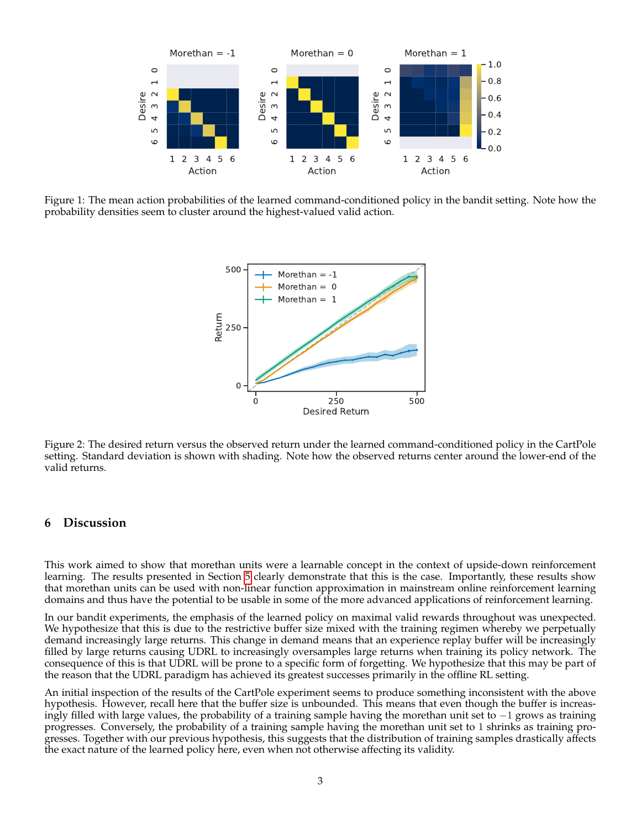

<span id="page-3-0"></span>Figure 1: The mean action probabilities of the learned command-conditioned policy in the bandit setting. Note how the probability densities seem to cluster around the highest-valued valid action.



<span id="page-3-1"></span>Figure 2: The desired return versus the observed return under the learned command-conditioned policy in the CartPole setting. Standard deviation is shown with shading. Note how the observed returns center around the lower-end of the valid returns.

#### **6 Discussion**

This work aimed to show that morethan units were a learnable concept in the context of upside-down reinforcement learning. The results presented in Section [5](#page-2-0) clearly demonstrate that this is the case. Importantly, these results show that morethan units can be used with non-linear function approximation in mainstream online reinforcement learning domains and thus have the potential to be usable in some of the more advanced applications of reinforcement learning.

In our bandit experiments, the emphasis of the learned policy on maximal valid rewards throughout was unexpected. We hypothesize that this is due to the restrictive buffer size mixed with the training regimen whereby we perpetually demand increasingly large returns. This change in demand means that an experience replay buffer will be increasingly filled by large returns causing UDRL to increasingly oversamples large returns when training its policy network. The consequence of this is that UDRL will be prone to a specific form of forgetting. We hypothesize that this may be part of the reason that the UDRL paradigm has achieved its greatest successes primarily in the offline RL setting.

An initial inspection of the results of the CartPole experiment seems to produce something inconsistent with the above hypothesis. However, recall here that the buffer size is unbounded. This means that even though the buffer is increasingly filled with large values, the probability of a training sample having the morethan unit set to −1 grows as training progresses. Conversely, the probability of a training sample having the morethan unit set to 1 shrinks as training progresses. Together with our previous hypothesis, this suggests that the distribution of training samples drastically affects the exact nature of the learned policy here, even when not otherwise affecting its validity.